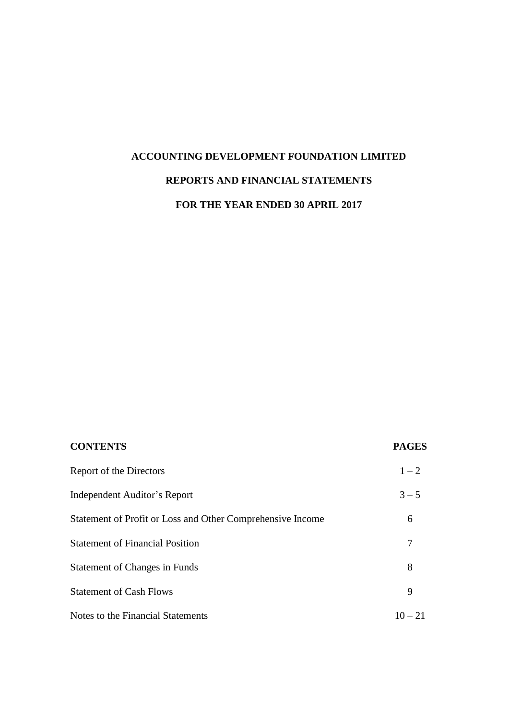# **ACCOUNTING DEVELOPMENT FOUNDATION LIMITED REPORTS AND FINANCIAL STATEMENTS**

# **FOR THE YEAR ENDED 30 APRIL 2017**

| <b>CONTENTS</b>                                            | <b>PAGES</b> |
|------------------------------------------------------------|--------------|
| Report of the Directors                                    | $1 - 2$      |
| Independent Auditor's Report                               | $3 - 5$      |
| Statement of Profit or Loss and Other Comprehensive Income | 6            |
| <b>Statement of Financial Position</b>                     |              |
| <b>Statement of Changes in Funds</b>                       | 8            |
| <b>Statement of Cash Flows</b>                             | 9            |
| Notes to the Financial Statements                          | $10 - 21$    |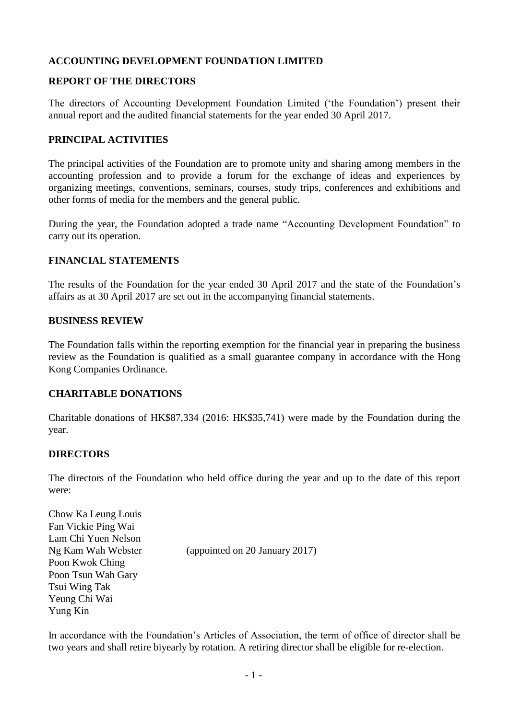## **ACCOUNTING DEVELOPMENT FOUNDATION LIMITED**

#### **REPORT OF THE DIRECTORS**

The directors of Accounting Development Foundation Limited ('the Foundation') present their annual report and the audited financial statements for the year ended 30 April 2017.

#### **PRINCIPAL ACTIVITIES**

The principal activities of the Foundation are to promote unity and sharing among members in the accounting profession and to provide a forum for the exchange of ideas and experiences by organizing meetings, conventions, seminars, courses, study trips, conferences and exhibitions and other forms of media for the members and the general public.

During the year, the Foundation adopted a trade name "Accounting Development Foundation" to carry out its operation.

#### **FINANCIAL STATEMENTS**

The results of the Foundation for the year ended 30 April 2017 and the state of the Foundation's affairs as at 30 April 2017 are set out in the accompanying financial statements.

#### **BUSINESS REVIEW**

The Foundation falls within the reporting exemption for the financial year in preparing the business review as the Foundation is qualified as a small guarantee company in accordance with the Hong Kong Companies Ordinance.

#### **CHARITABLE DONATIONS**

Charitable donations of HK\$87,334 (2016: HK\$35,741) were made by the Foundation during the year.

#### **DIRECTORS**

The directors of the Foundation who held office during the year and up to the date of this report were:

Chow Ka Leung Louis Fan Vickie Ping Wai Lam Chi Yuen Nelson Ng Kam Wah Webster (appointed on 20 January 2017) Poon Kwok Ching Poon Tsun Wah Gary Tsui Wing Tak Yeung Chi Wai Yung Kin

In accordance with the Foundation's Articles of Association, the term of office of director shall be two years and shall retire biyearly by rotation. A retiring director shall be eligible for re-election.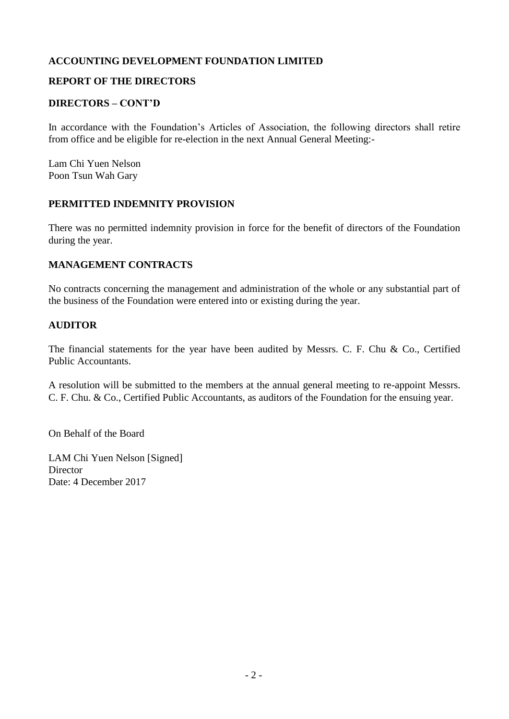## **ACCOUNTING DEVELOPMENT FOUNDATION LIMITED**

## **REPORT OF THE DIRECTORS**

#### **DIRECTORS – CONT'D**

In accordance with the Foundation's Articles of Association, the following directors shall retire from office and be eligible for re-election in the next Annual General Meeting:-

Lam Chi Yuen Nelson Poon Tsun Wah Gary

#### **PERMITTED INDEMNITY PROVISION**

There was no permitted indemnity provision in force for the benefit of directors of the Foundation during the year.

#### **MANAGEMENT CONTRACTS**

No contracts concerning the management and administration of the whole or any substantial part of the business of the Foundation were entered into or existing during the year.

#### **AUDITOR**

The financial statements for the year have been audited by Messrs. C. F. Chu & Co., Certified Public Accountants.

A resolution will be submitted to the members at the annual general meeting to re-appoint Messrs. C. F. Chu. & Co., Certified Public Accountants, as auditors of the Foundation for the ensuing year.

On Behalf of the Board

LAM Chi Yuen Nelson [Signed] **Director** Date: 4 December 2017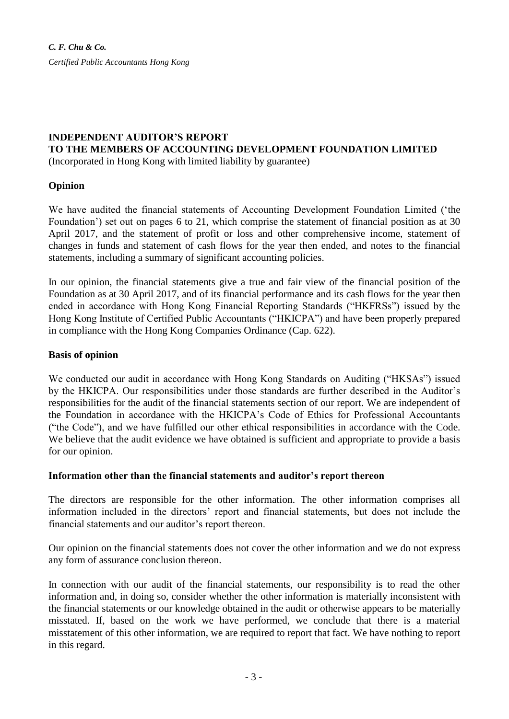# **INDEPENDENT AUDITOR'S REPORT**

## **TO THE MEMBERS OF ACCOUNTING DEVELOPMENT FOUNDATION LIMITED**

(Incorporated in Hong Kong with limited liability by guarantee)

#### **Opinion**

We have audited the financial statements of Accounting Development Foundation Limited ('the Foundation') set out on pages 6 to 21, which comprise the statement of financial position as at 30 April 2017, and the statement of profit or loss and other comprehensive income, statement of changes in funds and statement of cash flows for the year then ended, and notes to the financial statements, including a summary of significant accounting policies.

In our opinion, the financial statements give a true and fair view of the financial position of the Foundation as at 30 April 2017, and of its financial performance and its cash flows for the year then ended in accordance with Hong Kong Financial Reporting Standards ("HKFRSs") issued by the Hong Kong Institute of Certified Public Accountants ("HKICPA") and have been properly prepared in compliance with the Hong Kong Companies Ordinance (Cap. 622).

#### **Basis of opinion**

We conducted our audit in accordance with Hong Kong Standards on Auditing ("HKSAs") issued by the HKICPA. Our responsibilities under those standards are further described in the Auditor's responsibilities for the audit of the financial statements section of our report. We are independent of the Foundation in accordance with the HKICPA's Code of Ethics for Professional Accountants ("the Code"), and we have fulfilled our other ethical responsibilities in accordance with the Code. We believe that the audit evidence we have obtained is sufficient and appropriate to provide a basis for our opinion.

#### **Information other than the financial statements and auditor's report thereon**

The directors are responsible for the other information. The other information comprises all information included in the directors' report and financial statements, but does not include the financial statements and our auditor's report thereon.

Our opinion on the financial statements does not cover the other information and we do not express any form of assurance conclusion thereon.

In connection with our audit of the financial statements, our responsibility is to read the other information and, in doing so, consider whether the other information is materially inconsistent with the financial statements or our knowledge obtained in the audit or otherwise appears to be materially misstated. If, based on the work we have performed, we conclude that there is a material misstatement of this other information, we are required to report that fact. We have nothing to report in this regard.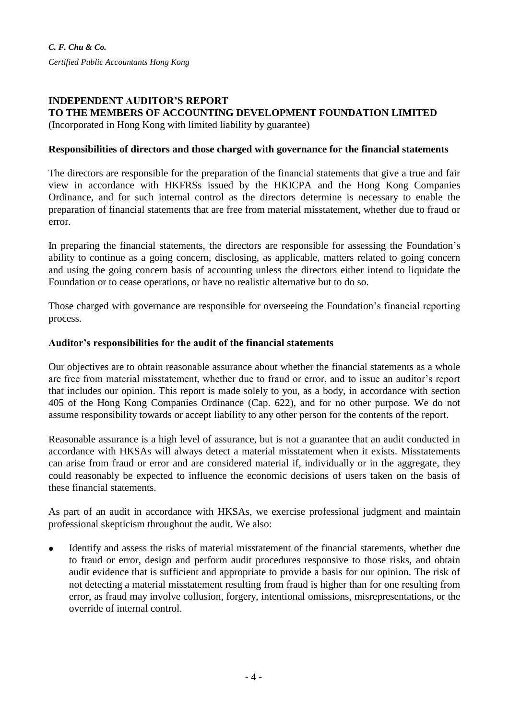*C. F. Chu & Co. Certified Public Accountants Hong Kong*

#### **INDEPENDENT AUDITOR'S REPORT TO THE MEMBERS OF ACCOUNTING DEVELOPMENT FOUNDATION LIMITED** (Incorporated in Hong Kong with limited liability by guarantee)

# **Responsibilities of directors and those charged with governance for the financial statements**

The directors are responsible for the preparation of the financial statements that give a true and fair view in accordance with HKFRSs issued by the HKICPA and the Hong Kong Companies Ordinance, and for such internal control as the directors determine is necessary to enable the preparation of financial statements that are free from material misstatement, whether due to fraud or error.

In preparing the financial statements, the directors are responsible for assessing the Foundation's ability to continue as a going concern, disclosing, as applicable, matters related to going concern and using the going concern basis of accounting unless the directors either intend to liquidate the Foundation or to cease operations, or have no realistic alternative but to do so.

Those charged with governance are responsible for overseeing the Foundation's financial reporting process.

#### **Auditor's responsibilities for the audit of the financial statements**

Our objectives are to obtain reasonable assurance about whether the financial statements as a whole are free from material misstatement, whether due to fraud or error, and to issue an auditor's report that includes our opinion. This report is made solely to you, as a body, in accordance with section 405 of the Hong Kong Companies Ordinance (Cap. 622), and for no other purpose. We do not assume responsibility towards or accept liability to any other person for the contents of the report.

Reasonable assurance is a high level of assurance, but is not a guarantee that an audit conducted in accordance with HKSAs will always detect a material misstatement when it exists. Misstatements can arise from fraud or error and are considered material if, individually or in the aggregate, they could reasonably be expected to influence the economic decisions of users taken on the basis of these financial statements.

As part of an audit in accordance with HKSAs, we exercise professional judgment and maintain professional skepticism throughout the audit. We also:

 Identify and assess the risks of material misstatement of the financial statements, whether due to fraud or error, design and perform audit procedures responsive to those risks, and obtain audit evidence that is sufficient and appropriate to provide a basis for our opinion. The risk of not detecting a material misstatement resulting from fraud is higher than for one resulting from error, as fraud may involve collusion, forgery, intentional omissions, misrepresentations, or the override of internal control.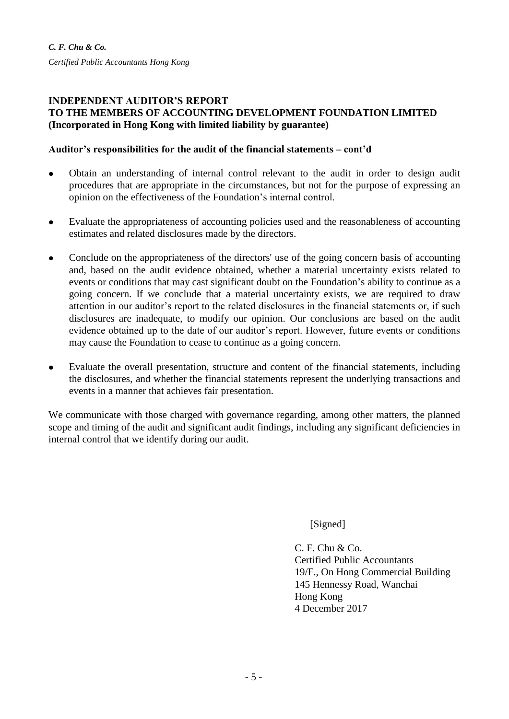#### **INDEPENDENT AUDITOR'S REPORT TO THE MEMBERS OF ACCOUNTING DEVELOPMENT FOUNDATION LIMITED (Incorporated in Hong Kong with limited liability by guarantee)**

## **Auditor's responsibilities for the audit of the financial statements – cont'd**

- Obtain an understanding of internal control relevant to the audit in order to design audit procedures that are appropriate in the circumstances, but not for the purpose of expressing an opinion on the effectiveness of the Foundation's internal control.
- Evaluate the appropriateness of accounting policies used and the reasonableness of accounting estimates and related disclosures made by the directors.
- Conclude on the appropriateness of the directors' use of the going concern basis of accounting and, based on the audit evidence obtained, whether a material uncertainty exists related to events or conditions that may cast significant doubt on the Foundation's ability to continue as a going concern. If we conclude that a material uncertainty exists, we are required to draw attention in our auditor's report to the related disclosures in the financial statements or, if such disclosures are inadequate, to modify our opinion. Our conclusions are based on the audit evidence obtained up to the date of our auditor's report. However, future events or conditions may cause the Foundation to cease to continue as a going concern.
- Evaluate the overall presentation, structure and content of the financial statements, including the disclosures, and whether the financial statements represent the underlying transactions and events in a manner that achieves fair presentation.

We communicate with those charged with governance regarding, among other matters, the planned scope and timing of the audit and significant audit findings, including any significant deficiencies in internal control that we identify during our audit.

[Signed]

 $C. F. Chu & Co.$ Certified Public Accountants 19/F., On Hong Commercial Building 145 Hennessy Road, Wanchai Hong Kong 4 December 2017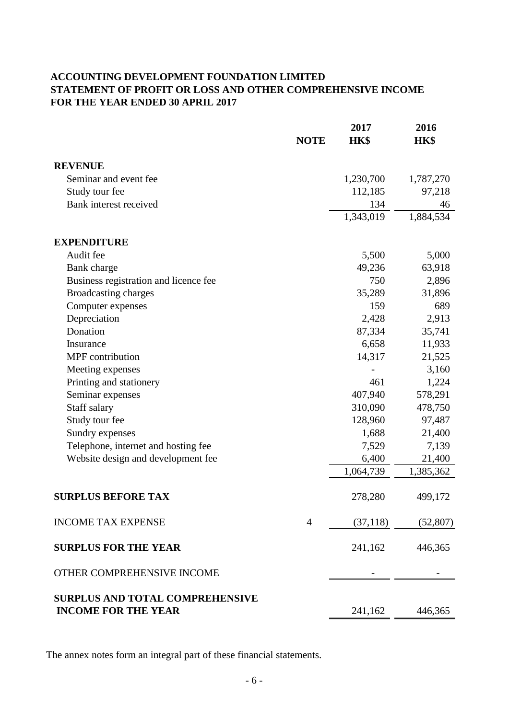# **ACCOUNTING DEVELOPMENT FOUNDATION LIMITED STATEMENT OF PROFIT OR LOSS AND OTHER COMPREHENSIVE INCOME FOR THE YEAR ENDED 30 APRIL 2017**

|                                        | <b>NOTE</b>    | 2017<br>HK\$ | 2016<br>HK\$ |
|----------------------------------------|----------------|--------------|--------------|
| <b>REVENUE</b>                         |                |              |              |
| Seminar and event fee                  |                | 1,230,700    | 1,787,270    |
| Study tour fee                         |                | 112,185      | 97,218       |
| Bank interest received                 |                | 134          | 46           |
|                                        |                | 1,343,019    | 1,884,534    |
| <b>EXPENDITURE</b>                     |                |              |              |
| Audit fee                              |                | 5,500        | 5,000        |
| Bank charge                            |                | 49,236       | 63,918       |
| Business registration and licence fee  |                | 750          | 2,896        |
| <b>Broadcasting charges</b>            |                | 35,289       | 31,896       |
| Computer expenses                      |                | 159          | 689          |
| Depreciation                           |                | 2,428        | 2,913        |
| Donation                               |                | 87,334       | 35,741       |
| Insurance                              |                | 6,658        | 11,933       |
| MPF contribution                       |                | 14,317       | 21,525       |
| Meeting expenses                       |                |              | 3,160        |
| Printing and stationery                |                | 461          | 1,224        |
| Seminar expenses                       |                | 407,940      | 578,291      |
| Staff salary                           |                | 310,090      | 478,750      |
| Study tour fee                         |                | 128,960      | 97,487       |
| Sundry expenses                        |                | 1,688        | 21,400       |
| Telephone, internet and hosting fee    |                | 7,529        | 7,139        |
| Website design and development fee     |                | 6,400        | 21,400       |
|                                        |                | 1,064,739    | 1,385,362    |
| <b>SURPLUS BEFORE TAX</b>              |                | 278,280      | 499,172      |
| <b>INCOME TAX EXPENSE</b>              | $\overline{4}$ | (37, 118)    | (52, 807)    |
| <b>SURPLUS FOR THE YEAR</b>            |                | 241,162      | 446,365      |
| OTHER COMPREHENSIVE INCOME             |                |              |              |
| <b>SURPLUS AND TOTAL COMPREHENSIVE</b> |                |              |              |
| <b>INCOME FOR THE YEAR</b>             |                | 241,162      | 446,365      |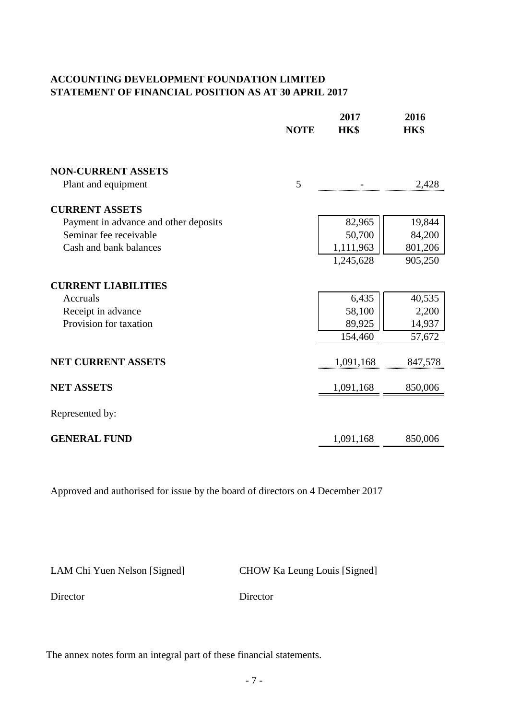# **ACCOUNTING DEVELOPMENT FOUNDATION LIMITED STATEMENT OF FINANCIAL POSITION AS AT 30 APRIL 2017**

|                                       | <b>NOTE</b> | 2017<br>HK\$ | 2016<br>HK\$ |
|---------------------------------------|-------------|--------------|--------------|
| <b>NON-CURRENT ASSETS</b>             |             |              |              |
| Plant and equipment                   | 5           |              | 2,428        |
| <b>CURRENT ASSETS</b>                 |             |              |              |
| Payment in advance and other deposits |             | 82,965       | 19,844       |
| Seminar fee receivable                |             | 50,700       | 84,200       |
| Cash and bank balances                |             | 1,111,963    | 801,206      |
|                                       |             | 1,245,628    | 905,250      |
| <b>CURRENT LIABILITIES</b>            |             |              |              |
| Accruals                              |             | 6,435        | 40,535       |
| Receipt in advance                    |             | 58,100       | 2,200        |
| Provision for taxation                |             | 89,925       | 14,937       |
|                                       |             | 154,460      | 57,672       |
| <b>NET CURRENT ASSETS</b>             |             | 1,091,168    | 847,578      |
| <b>NET ASSETS</b>                     |             | 1,091,168    | 850,006      |
| Represented by:                       |             |              |              |
| <b>GENERAL FUND</b>                   |             | 1,091,168    | 850,006      |

Approved and authorised for issue by the board of directors on 4 December 2017

LAM Chi Yuen Nelson [Signed] CHOW Ka Leung Louis [Signed]

Director Director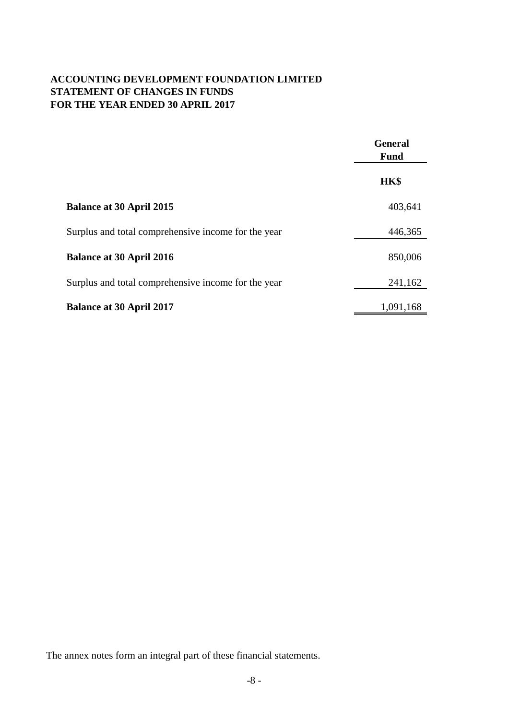# **ACCOUNTING DEVELOPMENT FOUNDATION LIMITED STATEMENT OF CHANGES IN FUNDS FOR THE YEAR ENDED 30 APRIL 2017**

|                                                     | <b>General</b><br><b>Fund</b> |
|-----------------------------------------------------|-------------------------------|
|                                                     | HK\$                          |
| <b>Balance at 30 April 2015</b>                     | 403,641                       |
| Surplus and total comprehensive income for the year | 446,365                       |
| <b>Balance at 30 April 2016</b>                     | 850,006                       |
| Surplus and total comprehensive income for the year | 241,162                       |
| <b>Balance at 30 April 2017</b>                     | 1,091,168                     |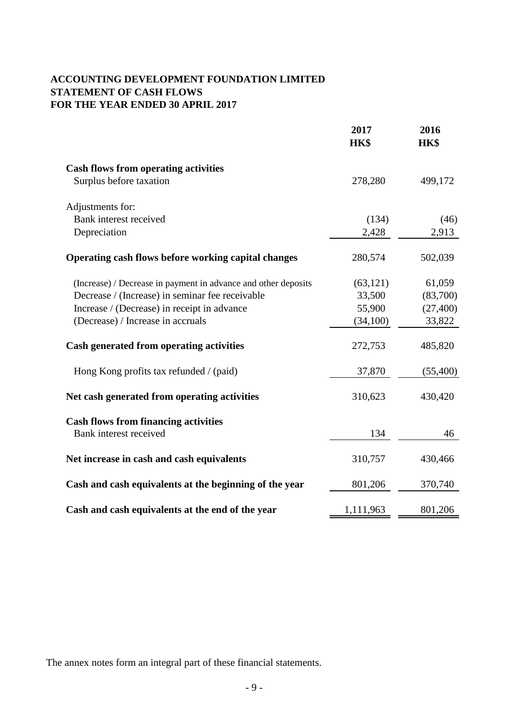# **ACCOUNTING DEVELOPMENT FOUNDATION LIMITED STATEMENT OF CASH FLOWS FOR THE YEAR ENDED 30 APRIL 2017**

|                                                                       | 2017<br>HK\$ | 2016<br>HK\$ |
|-----------------------------------------------------------------------|--------------|--------------|
| <b>Cash flows from operating activities</b>                           |              |              |
| Surplus before taxation                                               | 278,280      | 499,172      |
| Adjustments for:                                                      |              |              |
| Bank interest received                                                | (134)        | (46)         |
| Depreciation                                                          | 2,428        | 2,913        |
| Operating cash flows before working capital changes                   | 280,574      | 502,039      |
| (Increase) / Decrease in payment in advance and other deposits        | (63, 121)    | 61,059       |
| Decrease / (Increase) in seminar fee receivable                       | 33,500       | (83,700)     |
| Increase / (Decrease) in receipt in advance                           | 55,900       | (27, 400)    |
| (Decrease) / Increase in accruals                                     | (34,100)     | 33,822       |
| Cash generated from operating activities                              | 272,753      | 485,820      |
| Hong Kong profits tax refunded / (paid)                               | 37,870       | (55,400)     |
| Net cash generated from operating activities                          | 310,623      | 430,420      |
| <b>Cash flows from financing activities</b><br>Bank interest received | 134          | 46           |
| Net increase in cash and cash equivalents                             | 310,757      | 430,466      |
| Cash and cash equivalents at the beginning of the year                | 801,206      | 370,740      |
| Cash and cash equivalents at the end of the year                      | 1,111,963    | 801,206      |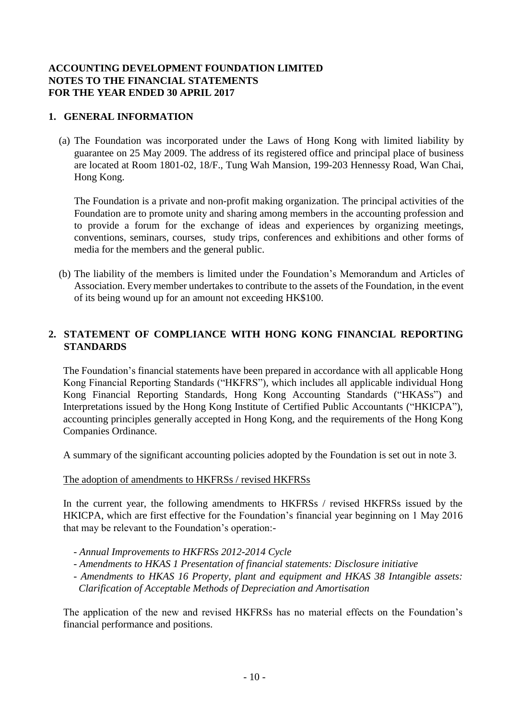## **1. GENERAL INFORMATION**

(a) The Foundation was incorporated under the Laws of Hong Kong with limited liability by guarantee on 25 May 2009. The address of its registered office and principal place of business are located at Room 1801-02, 18/F., Tung Wah Mansion, 199-203 Hennessy Road, Wan Chai, Hong Kong.

The Foundation is a private and non-profit making organization. The principal activities of the Foundation are to promote unity and sharing among members in the accounting profession and to provide a forum for the exchange of ideas and experiences by organizing meetings, conventions, seminars, courses, study trips, conferences and exhibitions and other forms of media for the members and the general public.

(b) The liability of the members is limited under the Foundation's Memorandum and Articles of Association. Every member undertakes to contribute to the assets of the Foundation, in the event of its being wound up for an amount not exceeding HK\$100.

# **2. STATEMENT OF COMPLIANCE WITH HONG KONG FINANCIAL REPORTING STANDARDS**

The Foundation's financial statements have been prepared in accordance with all applicable Hong Kong Financial Reporting Standards ("HKFRS"), which includes all applicable individual Hong Kong Financial Reporting Standards, Hong Kong Accounting Standards ("HKASs") and Interpretations issued by the Hong Kong Institute of Certified Public Accountants ("HKICPA"), accounting principles generally accepted in Hong Kong, and the requirements of the Hong Kong Companies Ordinance.

A summary of the significant accounting policies adopted by the Foundation is set out in note 3.

#### The adoption of amendments to HKFRSs / revised HKFRSs

In the current year, the following amendments to HKFRSs / revised HKFRSs issued by the HKICPA, which are first effective for the Foundation's financial year beginning on 1 May 2016 that may be relevant to the Foundation's operation:-

- *- Annual Improvements to HKFRSs 2012-2014 Cycle*
- *- Amendments to HKAS 1 Presentation of financial statements: Disclosure initiative*
- *- Amendments to HKAS 16 Property, plant and equipment and HKAS 38 Intangible assets: Clarification of Acceptable Methods of Depreciation and Amortisation*

The application of the new and revised HKFRSs has no material effects on the Foundation's financial performance and positions.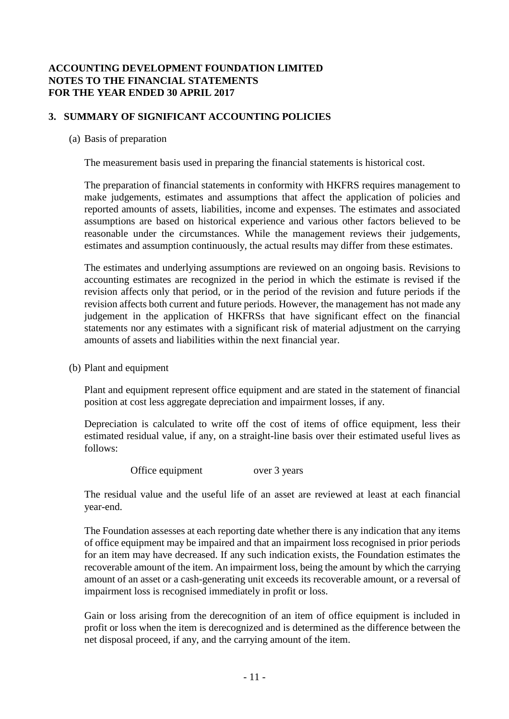# **3. SUMMARY OF SIGNIFICANT ACCOUNTING POLICIES**

#### (a) Basis of preparation

The measurement basis used in preparing the financial statements is historical cost.

The preparation of financial statements in conformity with HKFRS requires management to make judgements, estimates and assumptions that affect the application of policies and reported amounts of assets, liabilities, income and expenses. The estimates and associated assumptions are based on historical experience and various other factors believed to be reasonable under the circumstances. While the management reviews their judgements, estimates and assumption continuously, the actual results may differ from these estimates.

The estimates and underlying assumptions are reviewed on an ongoing basis. Revisions to accounting estimates are recognized in the period in which the estimate is revised if the revision affects only that period, or in the period of the revision and future periods if the revision affects both current and future periods. However, the management has not made any judgement in the application of HKFRSs that have significant effect on the financial statements nor any estimates with a significant risk of material adjustment on the carrying amounts of assets and liabilities within the next financial year.

(b) Plant and equipment

Plant and equipment represent office equipment and are stated in the statement of financial position at cost less aggregate depreciation and impairment losses, if any.

Depreciation is calculated to write off the cost of items of office equipment, less their estimated residual value, if any, on a straight-line basis over their estimated useful lives as follows:

Office equipment over 3 years

The residual value and the useful life of an asset are reviewed at least at each financial year-end.

The Foundation assesses at each reporting date whether there is any indication that any items of office equipment may be impaired and that an impairment loss recognised in prior periods for an item may have decreased. If any such indication exists, the Foundation estimates the recoverable amount of the item. An impairment loss, being the amount by which the carrying amount of an asset or a cash-generating unit exceeds its recoverable amount, or a reversal of impairment loss is recognised immediately in profit or loss.

Gain or loss arising from the derecognition of an item of office equipment is included in profit or loss when the item is derecognized and is determined as the difference between the net disposal proceed, if any, and the carrying amount of the item.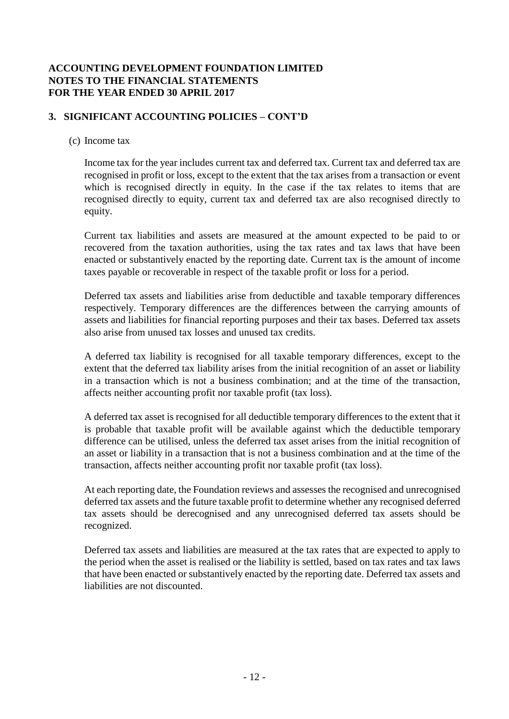# **3. SIGNIFICANT ACCOUNTING POLICIES – CONT'D**

#### (c) Income tax

Income tax for the year includes current tax and deferred tax. Current tax and deferred tax are recognised in profit or loss, except to the extent that the tax arises from a transaction or event which is recognised directly in equity. In the case if the tax relates to items that are recognised directly to equity, current tax and deferred tax are also recognised directly to equity.

Current tax liabilities and assets are measured at the amount expected to be paid to or recovered from the taxation authorities, using the tax rates and tax laws that have been enacted or substantively enacted by the reporting date. Current tax is the amount of income taxes payable or recoverable in respect of the taxable profit or loss for a period.

Deferred tax assets and liabilities arise from deductible and taxable temporary differences respectively. Temporary differences are the differences between the carrying amounts of assets and liabilities for financial reporting purposes and their tax bases. Deferred tax assets also arise from unused tax losses and unused tax credits.

A deferred tax liability is recognised for all taxable temporary differences, except to the extent that the deferred tax liability arises from the initial recognition of an asset or liability in a transaction which is not a business combination; and at the time of the transaction, affects neither accounting profit nor taxable profit (tax loss).

A deferred tax asset is recognised for all deductible temporary differences to the extent that it is probable that taxable profit will be available against which the deductible temporary difference can be utilised, unless the deferred tax asset arises from the initial recognition of an asset or liability in a transaction that is not a business combination and at the time of the transaction, affects neither accounting profit nor taxable profit (tax loss).

At each reporting date, the Foundation reviews and assesses the recognised and unrecognised deferred tax assets and the future taxable profit to determine whether any recognised deferred tax assets should be derecognised and any unrecognised deferred tax assets should be recognized.

Deferred tax assets and liabilities are measured at the tax rates that are expected to apply to the period when the asset is realised or the liability is settled, based on tax rates and tax laws that have been enacted or substantively enacted by the reporting date. Deferred tax assets and liabilities are not discounted.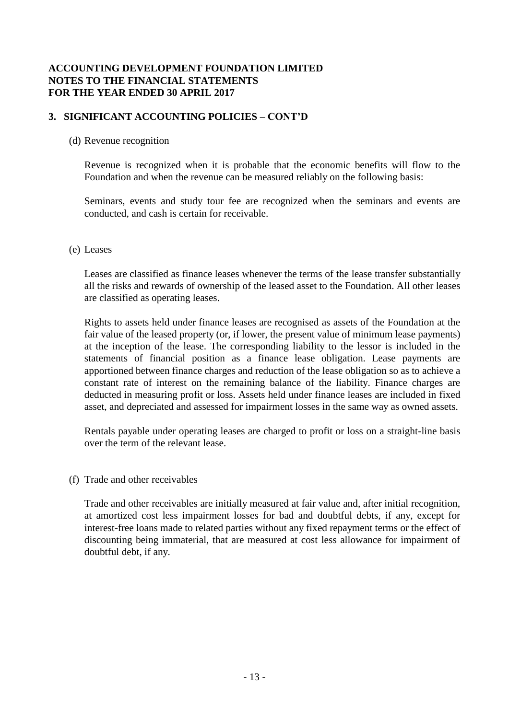## **3. SIGNIFICANT ACCOUNTING POLICIES – CONT'D**

#### (d) Revenue recognition

Revenue is recognized when it is probable that the economic benefits will flow to the Foundation and when the revenue can be measured reliably on the following basis:

Seminars, events and study tour fee are recognized when the seminars and events are conducted, and cash is certain for receivable.

#### (e) Leases

Leases are classified as finance leases whenever the terms of the lease transfer substantially all the risks and rewards of ownership of the leased asset to the Foundation. All other leases are classified as operating leases.

Rights to assets held under finance leases are recognised as assets of the Foundation at the fair value of the leased property (or, if lower, the present value of minimum lease payments) at the inception of the lease. The corresponding liability to the lessor is included in the statements of financial position as a finance lease obligation. Lease payments are apportioned between finance charges and reduction of the lease obligation so as to achieve a constant rate of interest on the remaining balance of the liability. Finance charges are deducted in measuring profit or loss. Assets held under finance leases are included in fixed asset, and depreciated and assessed for impairment losses in the same way as owned assets.

Rentals payable under operating leases are charged to profit or loss on a straight-line basis over the term of the relevant lease.

(f) Trade and other receivables

Trade and other receivables are initially measured at fair value and, after initial recognition, at amortized cost less impairment losses for bad and doubtful debts, if any, except for interest-free loans made to related parties without any fixed repayment terms or the effect of discounting being immaterial, that are measured at cost less allowance for impairment of doubtful debt, if any.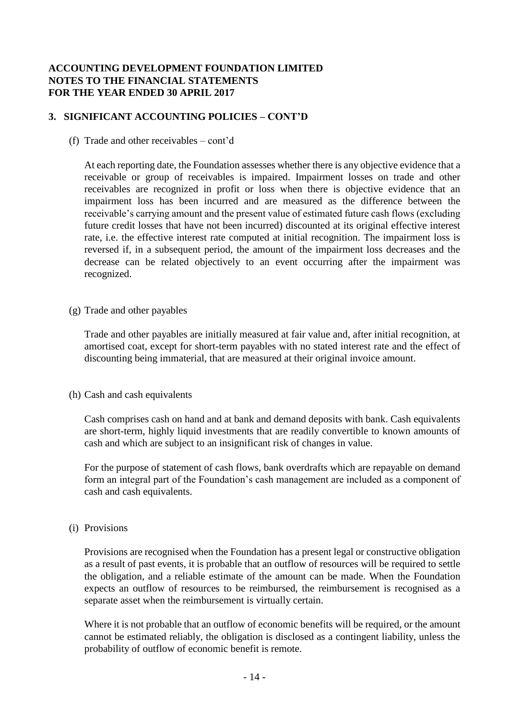# **3. SIGNIFICANT ACCOUNTING POLICIES – CONT'D**

(f) Trade and other receivables – cont'd

At each reporting date, the Foundation assesses whether there is any objective evidence that a receivable or group of receivables is impaired. Impairment losses on trade and other receivables are recognized in profit or loss when there is objective evidence that an impairment loss has been incurred and are measured as the difference between the receivable's carrying amount and the present value of estimated future cash flows (excluding future credit losses that have not been incurred) discounted at its original effective interest rate, i.e. the effective interest rate computed at initial recognition. The impairment loss is reversed if, in a subsequent period, the amount of the impairment loss decreases and the decrease can be related objectively to an event occurring after the impairment was recognized.

(g) Trade and other payables

Trade and other payables are initially measured at fair value and, after initial recognition, at amortised coat, except for short-term payables with no stated interest rate and the effect of discounting being immaterial, that are measured at their original invoice amount.

(h) Cash and cash equivalents

Cash comprises cash on hand and at bank and demand deposits with bank. Cash equivalents are short-term, highly liquid investments that are readily convertible to known amounts of cash and which are subject to an insignificant risk of changes in value.

For the purpose of statement of cash flows, bank overdrafts which are repayable on demand form an integral part of the Foundation's cash management are included as a component of cash and cash equivalents.

(i) Provisions

Provisions are recognised when the Foundation has a present legal or constructive obligation as a result of past events, it is probable that an outflow of resources will be required to settle the obligation, and a reliable estimate of the amount can be made. When the Foundation expects an outflow of resources to be reimbursed, the reimbursement is recognised as a separate asset when the reimbursement is virtually certain.

Where it is not probable that an outflow of economic benefits will be required, or the amount cannot be estimated reliably, the obligation is disclosed as a contingent liability, unless the probability of outflow of economic benefit is remote.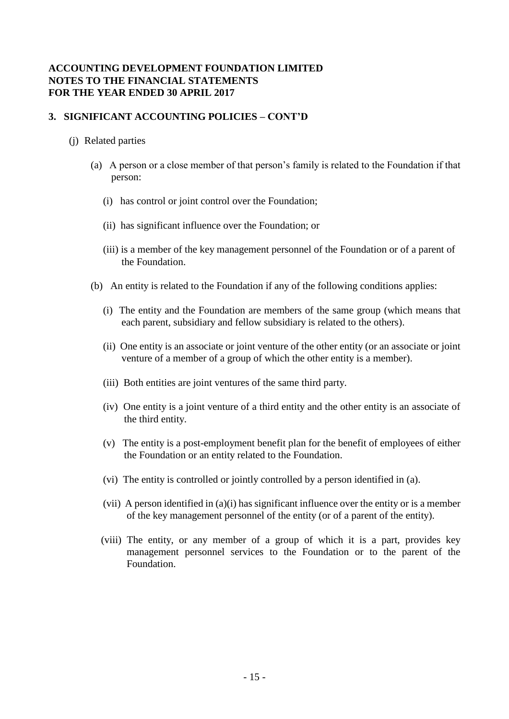## **3. SIGNIFICANT ACCOUNTING POLICIES – CONT'D**

#### (j) Related parties

- (a) A person or a close member of that person's family is related to the Foundation if that person:
	- (i) has control or joint control over the Foundation;
	- (ii) has significant influence over the Foundation; or
	- (iii) is a member of the key management personnel of the Foundation or of a parent of the Foundation.
- (b) An entity is related to the Foundation if any of the following conditions applies:
	- (i) The entity and the Foundation are members of the same group (which means that each parent, subsidiary and fellow subsidiary is related to the others).
	- (ii) One entity is an associate or joint venture of the other entity (or an associate or joint venture of a member of a group of which the other entity is a member).
	- (iii) Both entities are joint ventures of the same third party.
	- (iv) One entity is a joint venture of a third entity and the other entity is an associate of the third entity.
	- (v) The entity is a post-employment benefit plan for the benefit of employees of either the Foundation or an entity related to the Foundation.
	- (vi) The entity is controlled or jointly controlled by a person identified in (a).
	- (vii) A person identified in (a)(i) has significant influence over the entity or is a member of the key management personnel of the entity (or of a parent of the entity).
	- (viii) The entity, or any member of a group of which it is a part, provides key management personnel services to the Foundation or to the parent of the Foundation.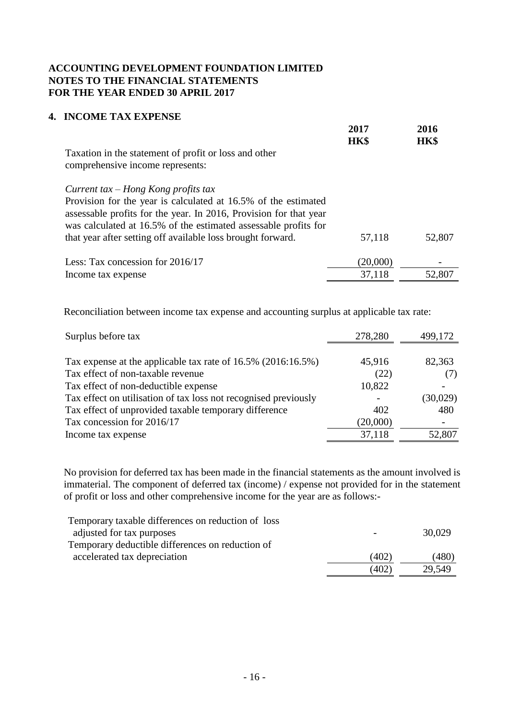## **4. INCOME TAX EXPENSE**

|                                                                                                                                                                                                                                                                                                                | 2017<br><b>HK\$</b> | 2016<br><b>HK\$</b> |
|----------------------------------------------------------------------------------------------------------------------------------------------------------------------------------------------------------------------------------------------------------------------------------------------------------------|---------------------|---------------------|
| Taxation in the statement of profit or loss and other<br>comprehensive income represents:                                                                                                                                                                                                                      |                     |                     |
| Current tax $-$ Hong Kong profits tax<br>Provision for the year is calculated at 16.5% of the estimated<br>assessable profits for the year. In 2016, Provision for that year<br>was calculated at 16.5% of the estimated assessable profits for<br>that year after setting off available loss brought forward. | 57,118              | 52,807              |
| Less: Tax concession for 2016/17                                                                                                                                                                                                                                                                               | (20,000)            | -                   |
| Income tax expense                                                                                                                                                                                                                                                                                             | 37,118              | 52,807              |

Reconciliation between income tax expense and accounting surplus at applicable tax rate:

| Surplus before tax                                              | 278,280  | 499,172  |
|-----------------------------------------------------------------|----------|----------|
|                                                                 |          |          |
| Tax expense at the applicable tax rate of $16.5\%$ (2016:16.5%) | 45,916   | 82,363   |
| Tax effect of non-taxable revenue                               | (22)     |          |
| Tax effect of non-deductible expense                            | 10,822   |          |
| Tax effect on utilisation of tax loss not recognised previously |          | (30,029) |
| Tax effect of unprovided taxable temporary difference           | 402      | 480      |
| Tax concession for 2016/17                                      | (20,000) |          |
| Income tax expense                                              | 37,118   | 52,807   |

No provision for deferred tax has been made in the financial statements as the amount involved is immaterial. The component of deferred tax (income) / expense not provided for in the statement of profit or loss and other comprehensive income for the year are as follows:-

| Temporary taxable differences on reduction of loss |       |        |
|----------------------------------------------------|-------|--------|
| adjusted for tax purposes                          |       | 30,029 |
| Temporary deductible differences on reduction of   |       |        |
| accelerated tax depreciation                       | (402) | (480)  |
|                                                    | (402) | 29,549 |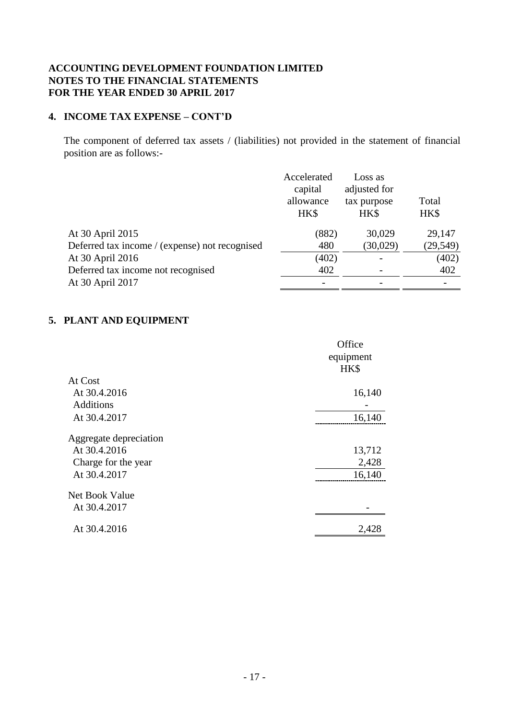#### **4. INCOME TAX EXPENSE – CONT'D**

The component of deferred tax assets / (liabilities) not provided in the statement of financial position are as follows:-

|                                                | Accelerated<br>capital<br>allowance<br>HK\$ | Loss as<br>adjusted for<br>tax purpose<br>HK\$ | Total<br>HK\$ |
|------------------------------------------------|---------------------------------------------|------------------------------------------------|---------------|
| At 30 April 2015                               | (882)                                       | 30,029                                         | 29,147        |
| Deferred tax income / (expense) not recognised | 480                                         | (30,029)                                       | (29, 549)     |
| At 30 April 2016                               | (402)                                       |                                                | (402)         |
| Deferred tax income not recognised             | 402                                         |                                                | 402           |
| At 30 April 2017                               |                                             |                                                |               |

# **5. PLANT AND EQUIPMENT**

|                        | Office    |
|------------------------|-----------|
|                        | equipment |
|                        | HK\$      |
| At Cost                |           |
| At 30.4.2016           | 16,140    |
| <b>Additions</b>       |           |
| At 30.4.2017           | 16,140    |
| Aggregate depreciation |           |
| At 30.4.2016           | 13,712    |
| Charge for the year    | 2,428     |
| At 30.4.2017           | 16,140    |
| Net Book Value         |           |
| At 30.4.2017           |           |
| At 30.4.2016           | 2,428     |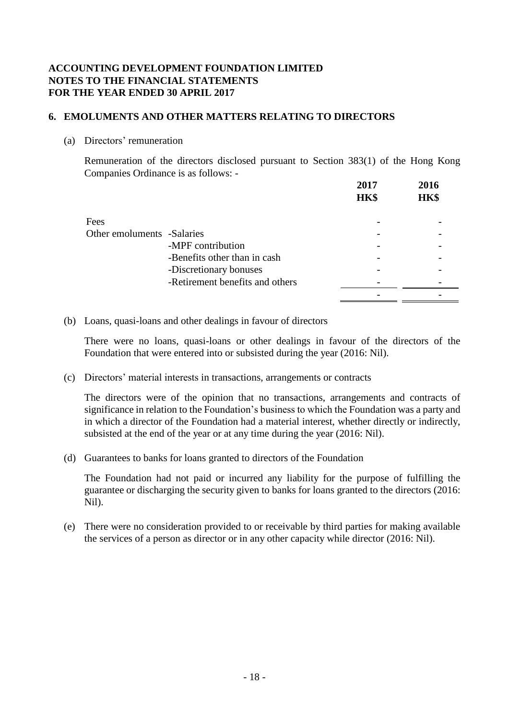## **6. EMOLUMENTS AND OTHER MATTERS RELATING TO DIRECTORS**

(a) Directors' remuneration

Remuneration of the directors disclosed pursuant to Section 383(1) of the Hong Kong Companies Ordinance is as follows: -

|                            |                                 | 2017<br>HK\$ | 2016<br>HK\$ |
|----------------------------|---------------------------------|--------------|--------------|
| Fees                       |                                 |              |              |
| Other emoluments -Salaries |                                 |              |              |
|                            | -MPF contribution               |              |              |
|                            | -Benefits other than in cash    |              |              |
|                            | -Discretionary bonuses          |              |              |
|                            | -Retirement benefits and others |              |              |
|                            |                                 |              |              |

(b) Loans, quasi-loans and other dealings in favour of directors

There were no loans, quasi-loans or other dealings in favour of the directors of the Foundation that were entered into or subsisted during the year (2016: Nil).

(c) Directors' material interests in transactions, arrangements or contracts

The directors were of the opinion that no transactions, arrangements and contracts of significance in relation to the Foundation's business to which the Foundation was a party and in which a director of the Foundation had a material interest, whether directly or indirectly, subsisted at the end of the year or at any time during the year (2016: Nil).

(d) Guarantees to banks for loans granted to directors of the Foundation

The Foundation had not paid or incurred any liability for the purpose of fulfilling the guarantee or discharging the security given to banks for loans granted to the directors (2016: Nil).

(e) There were no consideration provided to or receivable by third parties for making available the services of a person as director or in any other capacity while director (2016: Nil).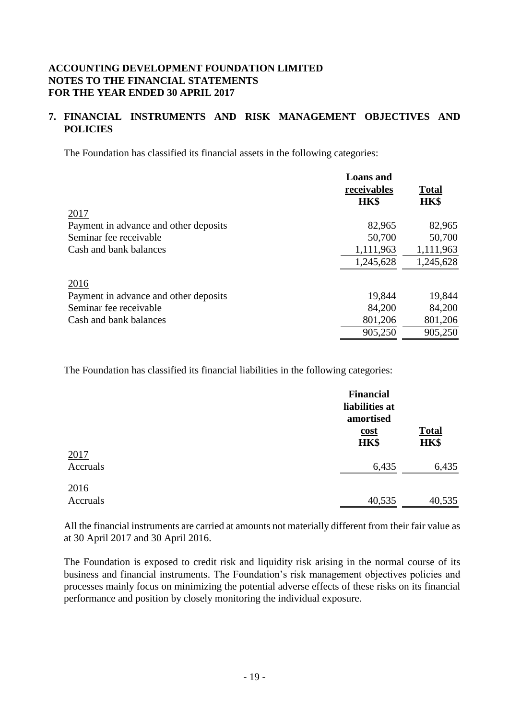# **7. FINANCIAL INSTRUMENTS AND RISK MANAGEMENT OBJECTIVES AND POLICIES**

The Foundation has classified its financial assets in the following categories:

|                                       | <b>Loans</b> and<br>receivables<br>HK\$ | <b>Total</b><br>HK\$ |
|---------------------------------------|-----------------------------------------|----------------------|
| 2017                                  |                                         |                      |
| Payment in advance and other deposits | 82,965                                  | 82,965               |
| Seminar fee receivable                | 50,700                                  | 50,700               |
| Cash and bank balances                | 1,111,963                               | 1,111,963            |
|                                       | 1,245,628                               | 1,245,628            |
| 2016                                  |                                         |                      |
| Payment in advance and other deposits | 19,844                                  | 19,844               |
| Seminar fee receivable                | 84,200                                  | 84,200               |
| Cash and bank balances                | 801,206                                 | 801,206              |
|                                       | 905,250                                 | 905,250              |

The Foundation has classified its financial liabilities in the following categories:

|                  | <b>Financial</b><br>liabilities at<br>amortised |                      |
|------------------|-------------------------------------------------|----------------------|
|                  | <u>cost</u><br>HK\$                             | <b>Total</b><br>HK\$ |
| 2017<br>Accruals | 6,435                                           | 6,435                |
| 2016<br>Accruals | 40,535                                          | 40,535               |

All the financial instruments are carried at amounts not materially different from their fair value as at 30 April 2017 and 30 April 2016.

The Foundation is exposed to credit risk and liquidity risk arising in the normal course of its business and financial instruments. The Foundation's risk management objectives policies and processes mainly focus on minimizing the potential adverse effects of these risks on its financial performance and position by closely monitoring the individual exposure.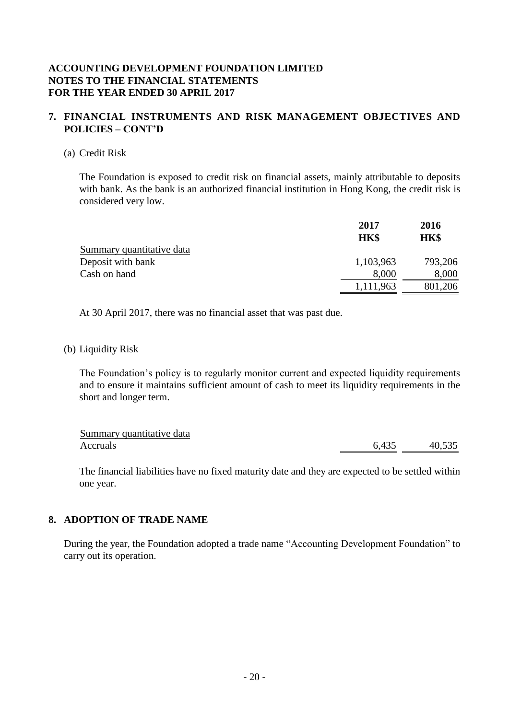#### **7. FINANCIAL INSTRUMENTS AND RISK MANAGEMENT OBJECTIVES AND POLICIES – CONT'D**

#### (a) Credit Risk

The Foundation is exposed to credit risk on financial assets, mainly attributable to deposits with bank. As the bank is an authorized financial institution in Hong Kong, the credit risk is considered very low.

|                           | 2017<br>HK\$ | 2016<br>HK\$ |
|---------------------------|--------------|--------------|
|                           |              |              |
| Summary quantitative data |              |              |
| Deposit with bank         | 1,103,963    | 793,206      |
| Cash on hand              | 8,000        | 8,000        |
|                           | 1,111,963    | 801,206      |

At 30 April 2017, there was no financial asset that was past due.

#### (b) Liquidity Risk

The Foundation's policy is to regularly monitor current and expected liquidity requirements and to ensure it maintains sufficient amount of cash to meet its liquidity requirements in the short and longer term.

| Summary quantitative data |       |        |
|---------------------------|-------|--------|
| Accruals                  | 6,435 | 40,535 |

The financial liabilities have no fixed maturity date and they are expected to be settled within one year.

## **8. ADOPTION OF TRADE NAME**

During the year, the Foundation adopted a trade name "Accounting Development Foundation" to carry out its operation.